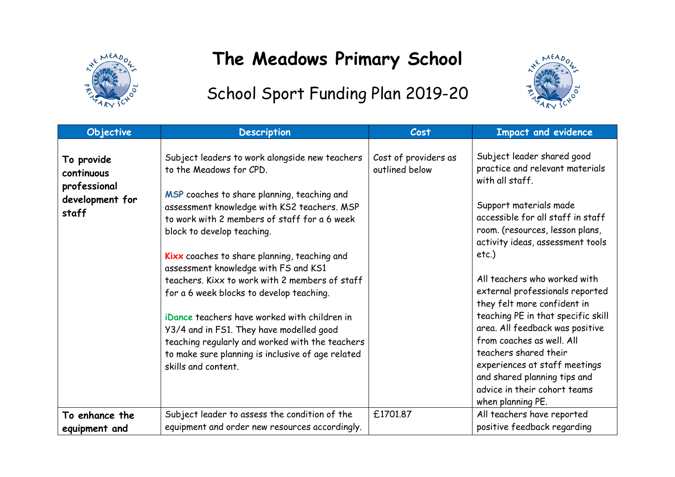

## **The Meadows Primary School**



## School Sport Funding Plan 2019-20

| Objective                                                   | <b>Description</b>                                                                                                                                                                                                                                                                                              | Cost                                   | <b>Impact and evidence</b>                                                                                                                                                                                                                                                       |
|-------------------------------------------------------------|-----------------------------------------------------------------------------------------------------------------------------------------------------------------------------------------------------------------------------------------------------------------------------------------------------------------|----------------------------------------|----------------------------------------------------------------------------------------------------------------------------------------------------------------------------------------------------------------------------------------------------------------------------------|
| To provide<br>continuous<br>professional<br>development for | Subject leaders to work alongside new teachers<br>to the Meadows for CPD.<br>MSP coaches to share planning, teaching and                                                                                                                                                                                        | Cost of providers as<br>outlined below | Subject leader shared good<br>practice and relevant materials<br>with all staff.                                                                                                                                                                                                 |
| staff                                                       | assessment knowledge with KS2 teachers. MSP<br>to work with 2 members of staff for a 6 week<br>block to develop teaching.<br>Kixx coaches to share planning, teaching and<br>assessment knowledge with FS and KS1<br>teachers. Kixx to work with 2 members of staff<br>for a 6 week blocks to develop teaching. |                                        | Support materials made<br>accessible for all staff in staff<br>room. (resources, lesson plans,<br>activity ideas, assessment tools<br>$etc.$ )<br>All teachers who worked with<br>external professionals reported                                                                |
|                                                             | iDance teachers have worked with children in<br>Y3/4 and in FS1. They have modelled good<br>teaching regularly and worked with the teachers<br>to make sure planning is inclusive of age related<br>skills and content.                                                                                         |                                        | they felt more confident in<br>teaching PE in that specific skill<br>area. All feedback was positive<br>from coaches as well. All<br>teachers shared their<br>experiences at staff meetings<br>and shared planning tips and<br>advice in their cohort teams<br>when planning PE. |
| To enhance the<br>equipment and                             | Subject leader to assess the condition of the<br>equipment and order new resources accordingly.                                                                                                                                                                                                                 | £1701.87                               | All teachers have reported<br>positive feedback regarding                                                                                                                                                                                                                        |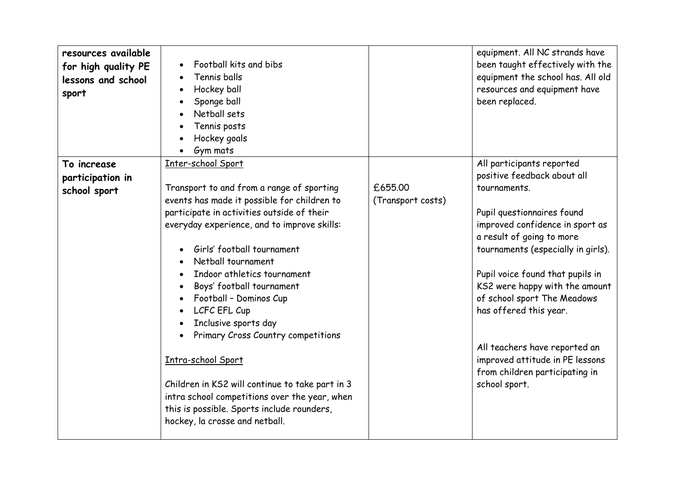| resources available<br>for high quality PE<br>lessons and school<br>sport | Football kits and bibs<br>Tennis balls<br>Hockey ball<br>$\bullet$<br>Sponge ball<br>Netball sets<br>Tennis posts<br>Hockey goals<br>Gym mats |                              | equipment. All NC strands have<br>been taught effectively with the<br>equipment the school has. All old<br>resources and equipment have<br>been replaced. |
|---------------------------------------------------------------------------|-----------------------------------------------------------------------------------------------------------------------------------------------|------------------------------|-----------------------------------------------------------------------------------------------------------------------------------------------------------|
| To increase                                                               | Inter-school Sport                                                                                                                            |                              | All participants reported                                                                                                                                 |
| participation in                                                          |                                                                                                                                               |                              | positive feedback about all                                                                                                                               |
| school sport                                                              | Transport to and from a range of sporting<br>events has made it possible for children to                                                      | £655.00<br>(Transport costs) | tournaments.                                                                                                                                              |
|                                                                           | participate in activities outside of their                                                                                                    |                              | Pupil questionnaires found                                                                                                                                |
|                                                                           | everyday experience, and to improve skills:                                                                                                   |                              | improved confidence in sport as                                                                                                                           |
|                                                                           |                                                                                                                                               |                              | a result of going to more                                                                                                                                 |
|                                                                           | Girls' football tournament                                                                                                                    |                              | tournaments (especially in girls).                                                                                                                        |
|                                                                           | Netball tournament                                                                                                                            |                              |                                                                                                                                                           |
|                                                                           | Indoor athletics tournament                                                                                                                   |                              | Pupil voice found that pupils in                                                                                                                          |
|                                                                           | Boys' football tournament                                                                                                                     |                              | KS2 were happy with the amount                                                                                                                            |
|                                                                           | Football - Dominos Cup                                                                                                                        |                              | of school sport The Meadows                                                                                                                               |
|                                                                           | LCFC EFL Cup<br>$\bullet$                                                                                                                     |                              | has offered this year.                                                                                                                                    |
|                                                                           | Inclusive sports day                                                                                                                          |                              |                                                                                                                                                           |
|                                                                           | Primary Cross Country competitions                                                                                                            |                              | All teachers have reported an                                                                                                                             |
|                                                                           | Intra-school Sport                                                                                                                            |                              | improved attitude in PE lessons                                                                                                                           |
|                                                                           |                                                                                                                                               |                              | from children participating in                                                                                                                            |
|                                                                           | Children in KS2 will continue to take part in 3                                                                                               |                              | school sport.                                                                                                                                             |
|                                                                           | intra school competitions over the year, when                                                                                                 |                              |                                                                                                                                                           |
|                                                                           | this is possible. Sports include rounders,                                                                                                    |                              |                                                                                                                                                           |
|                                                                           | hockey, la crosse and netball.                                                                                                                |                              |                                                                                                                                                           |
|                                                                           |                                                                                                                                               |                              |                                                                                                                                                           |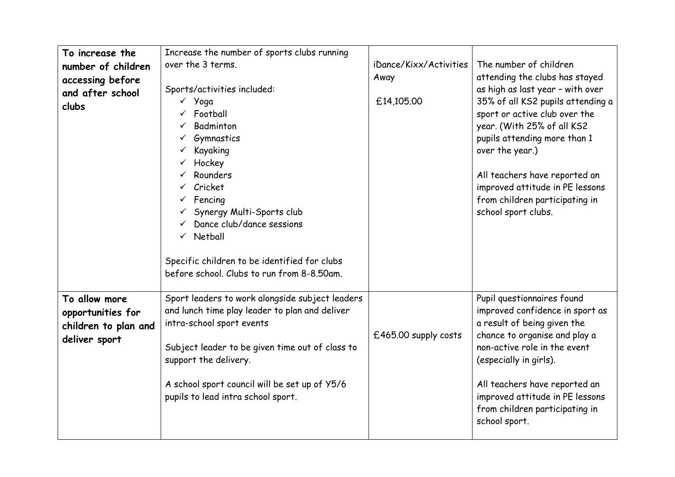| To increase the<br>number of children<br>accessing before<br>and after school<br>clubs | Increase the number of sports clubs running<br>over the 3 terms.<br>Sports/activities included:<br>√ Yoga<br>Football<br>Badminton<br>Gymnastics<br>Kayaking<br>Hockey<br>Rounders<br>Cricket<br>Fencing<br>Synergy Multi-Sports club<br>Dance club/dance sessions<br>$\checkmark$ Netball<br>Specific children to be identified for clubs<br>before school. Clubs to run from 8-8.50am. | iDance/Kixx/Activities<br>Away<br>£14,105.00 | The number of children<br>attending the clubs has stayed<br>as high as last year - with over<br>35% of all KS2 pupils attending a<br>sport or active club over the<br>year. (With 25% of all KS2<br>pupils attending more than 1<br>over the year.)<br>All teachers have reported an<br>improved attitude in PE lessons<br>from children participating in<br>school sport clubs. |
|----------------------------------------------------------------------------------------|------------------------------------------------------------------------------------------------------------------------------------------------------------------------------------------------------------------------------------------------------------------------------------------------------------------------------------------------------------------------------------------|----------------------------------------------|----------------------------------------------------------------------------------------------------------------------------------------------------------------------------------------------------------------------------------------------------------------------------------------------------------------------------------------------------------------------------------|
| To allow more<br>opportunities for<br>children to plan and<br>deliver sport            | Sport leaders to work alongside subject leaders<br>and lunch time play leader to plan and deliver<br>intra-school sport events<br>Subject leader to be given time out of class to<br>support the delivery.<br>A school sport council will be set up of Y5/6<br>pupils to lead intra school sport.                                                                                        | £465.00 supply costs                         | Pupil questionnaires found<br>improved confidence in sport as<br>a result of being given the<br>chance to organise and play a<br>non-active role in the event<br>(especially in girls).<br>All teachers have reported an<br>improved attitude in PE lessons<br>from children participating in<br>school sport.                                                                   |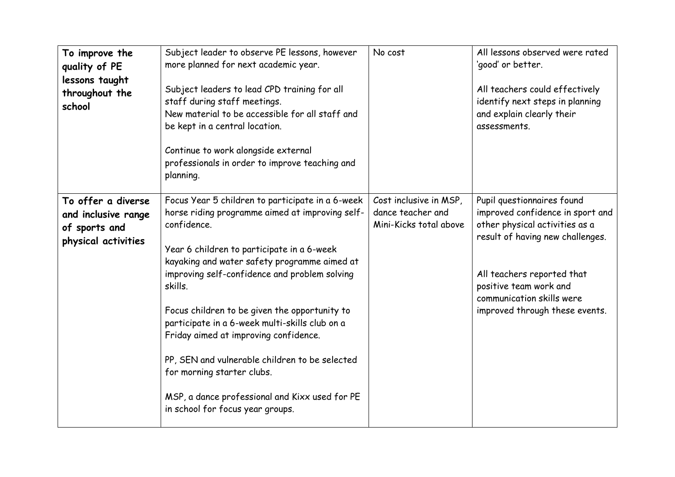| To improve the<br>quality of PE<br>lessons taught<br>throughout the<br>school     | Subject leader to observe PE lessons, however<br>more planned for next academic year.<br>Subject leaders to lead CPD training for all<br>staff during staff meetings.<br>New material to be accessible for all staff and<br>be kept in a central location.<br>Continue to work alongside external<br>professionals in order to improve teaching and<br>planning.                                                                                                                                                                                                                               | No cost                                                               | All lessons observed were rated<br>'good' or better.<br>All teachers could effectively<br>identify next steps in planning<br>and explain clearly their<br>assessments.                                                                                      |
|-----------------------------------------------------------------------------------|------------------------------------------------------------------------------------------------------------------------------------------------------------------------------------------------------------------------------------------------------------------------------------------------------------------------------------------------------------------------------------------------------------------------------------------------------------------------------------------------------------------------------------------------------------------------------------------------|-----------------------------------------------------------------------|-------------------------------------------------------------------------------------------------------------------------------------------------------------------------------------------------------------------------------------------------------------|
| To offer a diverse<br>and inclusive range<br>of sports and<br>physical activities | Focus Year 5 children to participate in a 6-week<br>horse riding programme aimed at improving self-<br>confidence.<br>Year 6 children to participate in a 6-week<br>kayaking and water safety programme aimed at<br>improving self-confidence and problem solving<br>skills.<br>Focus children to be given the opportunity to<br>participate in a 6-week multi-skills club on a<br>Friday aimed at improving confidence.<br>PP, SEN and vulnerable children to be selected<br>for morning starter clubs.<br>MSP, a dance professional and Kixx used for PE<br>in school for focus year groups. | Cost inclusive in MSP,<br>dance teacher and<br>Mini-Kicks total above | Pupil questionnaires found<br>improved confidence in sport and<br>other physical activities as a<br>result of having new challenges.<br>All teachers reported that<br>positive team work and<br>communication skills were<br>improved through these events. |